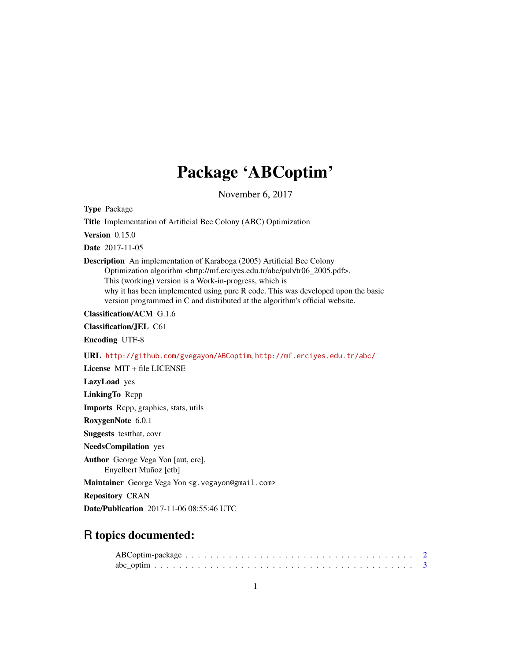## Package 'ABCoptim'

November 6, 2017

<span id="page-0-0"></span>Type Package

Title Implementation of Artificial Bee Colony (ABC) Optimization

Version 0.15.0

Date 2017-11-05

#### Description An implementation of Karaboga (2005) Artificial Bee Colony

Optimization algorithm <http://mf.erciyes.edu.tr/abc/pub/tr06\_2005.pdf>.

This (working) version is a Work-in-progress, which is why it has been implemented using pure R code. This was developed upon the basic

version programmed in C and distributed at the algorithm's official website.

Classification/ACM G.1.6

Classification/JEL C61

Encoding UTF-8

URL <http://github.com/gvegayon/ABCoptim>, <http://mf.erciyes.edu.tr/abc/>

License MIT + file LICENSE

LazyLoad yes

LinkingTo Rcpp

Imports Rcpp, graphics, stats, utils

RoxygenNote 6.0.1

Suggests testthat, covr

NeedsCompilation yes

Author George Vega Yon [aut, cre], Enyelbert Muñoz [ctb]

Maintainer George Vega Yon <g. vegayon@gmail.com>

Repository CRAN

Date/Publication 2017-11-06 08:55:46 UTC

### R topics documented: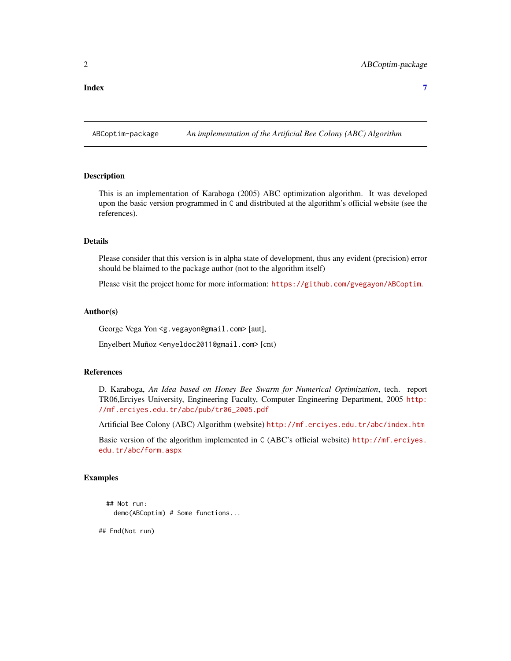<span id="page-1-0"></span>**Index** [7](#page-6-0) **7** 

ABCoptim-package *An implementation of the Artificial Bee Colony (ABC) Algorithm*

#### Description

This is an implementation of Karaboga (2005) ABC optimization algorithm. It was developed upon the basic version programmed in C and distributed at the algorithm's official website (see the references).

#### Details

Please consider that this version is in alpha state of development, thus any evident (precision) error should be blaimed to the package author (not to the algorithm itself)

Please visit the project home for more information: <https://github.com/gvegayon/ABCoptim>.

#### Author(s)

George Vega Yon <g.vegayon@gmail.com> [aut],

Enyelbert Muñoz <enyeldoc2011@gmail.com> [cnt)

#### References

D. Karaboga, *An Idea based on Honey Bee Swarm for Numerical Optimization*, tech. report TR06,Erciyes University, Engineering Faculty, Computer Engineering Department, 2005 [http:](http://mf.erciyes.edu.tr/abc/pub/tr06_2005.pdf) [//mf.erciyes.edu.tr/abc/pub/tr06\\_2005.pdf](http://mf.erciyes.edu.tr/abc/pub/tr06_2005.pdf)

Artificial Bee Colony (ABC) Algorithm (website) <http://mf.erciyes.edu.tr/abc/index.htm>

Basic version of the algorithm implemented in C (ABC's official website) [http://mf.erciyes.](http://mf.erciyes.edu.tr/abc/form.aspx) [edu.tr/abc/form.aspx](http://mf.erciyes.edu.tr/abc/form.aspx)

#### Examples

```
## Not run:
  demo(ABCoptim) # Some functions...
```
## End(Not run)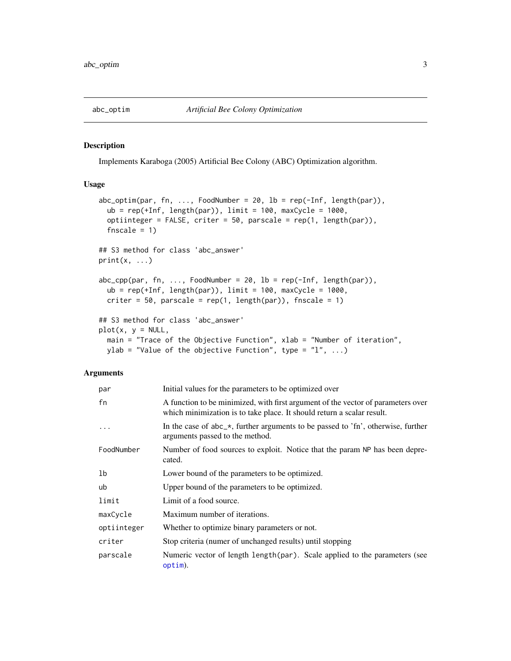<span id="page-2-0"></span>

#### Description

Implements Karaboga (2005) Artificial Bee Colony (ABC) Optimization algorithm.

#### Usage

```
abc\_optim(par, fn, ..., FoodNumber = 20, lb = rep(-Inf, length(par)),ub = rep(+Inf, length(par)), limit = 100, maxCycle = 1000,
  optiinteger = FALSE, criter = 50, parscale = rep(1, length(par)),
  fnscale = 1)
## S3 method for class 'abc_answer'
print(x, \ldots)abc_cpp(par, fn, ..., FoodNumber = 20, lb = rep(-Inf, length(par)),ub = rep(+Inf, length(par)), limit = 100, maxCycle = 1000,
 criter = 50, parscale = rep(1, length(par)), fnscale = 1)
## S3 method for class 'abc_answer'
plot(x, y = NULL,main = "Trace of the Objective Function", xlab = "Number of iteration",
 ylab = "Value of the objective Function", type = "1", ...)
```
#### Arguments

| par         | Initial values for the parameters to be optimized over                                                                                                     |
|-------------|------------------------------------------------------------------------------------------------------------------------------------------------------------|
| fn          | A function to be minimized, with first argument of the vector of parameters over<br>which minimization is to take place. It should return a scalar result. |
| $\ddots$    | In the case of $abc_{\alpha}$ , further arguments to be passed to 'fn', otherwise, further<br>arguments passed to the method.                              |
| FoodNumber  | Number of food sources to exploit. Notice that the param NP has been depre-<br>cated.                                                                      |
| lb          | Lower bound of the parameters to be optimized.                                                                                                             |
| ub          | Upper bound of the parameters to be optimized.                                                                                                             |
| limit       | Limit of a food source.                                                                                                                                    |
| maxCycle    | Maximum number of iterations.                                                                                                                              |
| optiinteger | Whether to optimize binary parameters or not.                                                                                                              |
| criter      | Stop criteria (numer of unchanged results) until stopping                                                                                                  |
| parscale    | Numeric vector of length length (par). Scale applied to the parameters (see<br>option).                                                                    |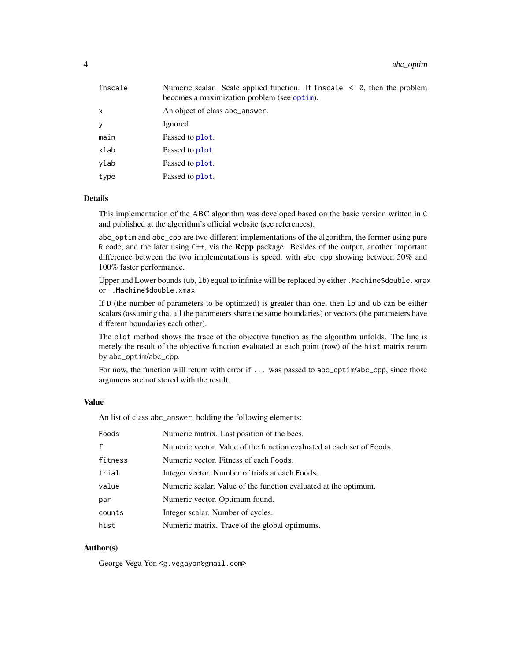<span id="page-3-0"></span>

| fnscale | Numeric scalar. Scale applied function. If fnscale $\leq \theta$ , then the problem<br>becomes a maximization problem (see optim). |
|---------|------------------------------------------------------------------------------------------------------------------------------------|
| x       | An object of class abc_answer.                                                                                                     |
| у       | Ignored                                                                                                                            |
| main    | Passed to plot.                                                                                                                    |
| xlab    | Passed to plot.                                                                                                                    |
| ylab    | Passed to plot.                                                                                                                    |
| type    | Passed to plot.                                                                                                                    |

#### Details

This implementation of the ABC algorithm was developed based on the basic version written in C and published at the algorithm's official website (see references).

abc\_optim and abc\_cpp are two different implementations of the algorithm, the former using pure R code, and the later using C++, via the Rcpp package. Besides of the output, another important difference between the two implementations is speed, with abc\_cpp showing between 50% and 100% faster performance.

Upper and Lower bounds (ub, 1b) equal to infinite will be replaced by either .Machine\$double.xmax or -.Machine\$double.xmax.

If D (the number of parameters to be optimzed) is greater than one, then lb and ub can be either scalars (assuming that all the parameters share the same boundaries) or vectors (the parameters have different boundaries each other).

The plot method shows the trace of the objective function as the algorithm unfolds. The line is merely the result of the objective function evaluated at each point (row) of the hist matrix return by abc\_optim/abc\_cpp.

For now, the function will return with error if ... was passed to abc\_optim/abc\_cpp, since those argumens are not stored with the result.

#### Value

An list of class abc\_answer, holding the following elements:

| Foods        | Numeric matrix. Last position of the bees.                            |
|--------------|-----------------------------------------------------------------------|
| $\mathsf{f}$ | Numeric vector. Value of the function evaluated at each set of Foods. |
| fitness      | Numeric vector. Fitness of each Foods.                                |
| trial        | Integer vector. Number of trials at each Foods.                       |
| value        | Numeric scalar. Value of the function evaluated at the optimum.       |
| par          | Numeric vector. Optimum found.                                        |
| counts       | Integer scalar. Number of cycles.                                     |
| hist         | Numeric matrix. Trace of the global optimums.                         |

#### Author(s)

George Vega Yon <g.vegayon@gmail.com>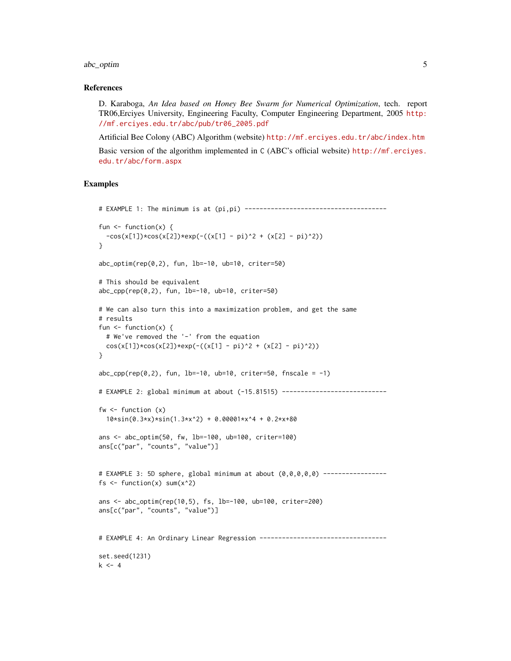#### abc\_optim 5

#### References

D. Karaboga, *An Idea based on Honey Bee Swarm for Numerical Optimization*, tech. report TR06,Erciyes University, Engineering Faculty, Computer Engineering Department, 2005 [http:](http://mf.erciyes.edu.tr/abc/pub/tr06_2005.pdf) [//mf.erciyes.edu.tr/abc/pub/tr06\\_2005.pdf](http://mf.erciyes.edu.tr/abc/pub/tr06_2005.pdf)

Artificial Bee Colony (ABC) Algorithm (website) <http://mf.erciyes.edu.tr/abc/index.htm> Basic version of the algorithm implemented in C (ABC's official website) [http://mf.erciyes.](http://mf.erciyes.edu.tr/abc/form.aspx) [edu.tr/abc/form.aspx](http://mf.erciyes.edu.tr/abc/form.aspx)

#### Examples

```
# EXAMPLE 1: The minimum is at (pi,pi) --------------------------------------
fun \leq function(x) {
  -cos(x[1]) * cos(x[2]) * exp(-(x[1] - pi)^2 + (x[2] - pi)^2)}
abc_optim(rep(0,2), fun, lb=-10, ub=10, criter=50)
# This should be equivalent
abc_cpp(rep(0,2), fun, lb=-10, ub=10, criter=50)
# We can also turn this into a maximization problem, and get the same
# results
fun \leq function(x) {
  # We've removed the '-' from the equation
  cos(x[1]) * cos(x[2]) * exp(-(x[1] - pi)^2 + (x[2] - pi)^2)}
abc_cpp(rep(\theta,2), fun, lb=-10, ub=10, criter=50, frscale = -1)# EXAMPLE 2: global minimum at about (-15.81515) ----------------------------
fw \leftarrow function(x)10*sin(0.3*x)*sin(1.3*x^2) + 0.00001*x^4 + 0.2*x+80ans <- abc_optim(50, fw, lb=-100, ub=100, criter=100)
ans[c("par", "counts", "value")]
# EXAMPLE 3: 5D sphere, global minimum at about (0,0,0,0,0) -----------------
fs \le function(x) sum(x^2)
ans <- abc_optim(rep(10,5), fs, lb=-100, ub=100, criter=200)
ans[c("par", "counts", "value")]
# EXAMPLE 4: An Ordinary Linear Regression ----------------------------------
set.seed(1231)
k \le -4
```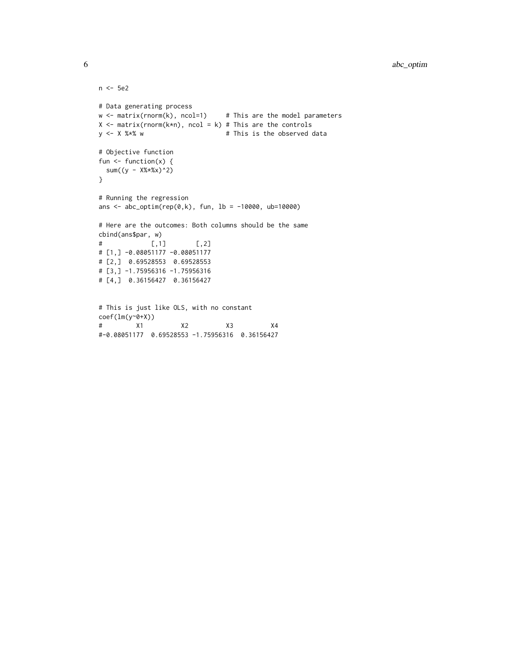```
n <- 5e2
# Data generating process
w \leq - matrix(rnorm(k), ncol=1) # This are the model parameters
X \leq matrix(rnorm(k*n), ncol = k) # This are the controls
y \le - X %*% w \qquad # This is the observed data
# Objective function
fun \leq function(x) {
 sum((y - X%*%x)^{2})
}
# Running the regression
ans <- abc\_optim(rep(0, k), fun, 1b = -10000, ub=10000)
# Here are the outcomes: Both columns should be the same
cbind(ans$par, w)
# [,1] [,2]
# [1,] -0.08051177 -0.08051177
# [2,] 0.69528553 0.69528553
# [3,] -1.75956316 -1.75956316
# [4,] 0.36156427 0.36156427
# This is just like OLS, with no constant
coef(lm(y~0+X))
# X1 X2 X3 X4
```

```
#-0.08051177 0.69528553 -1.75956316 0.36156427
```